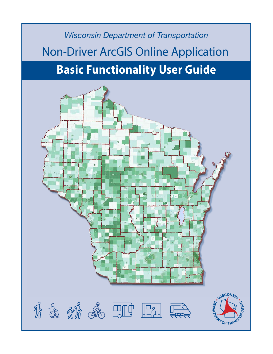# *Wisconsin Department of Transportation* Non-Driver ArcGIS Online Application **Basic Functionality User Guide**

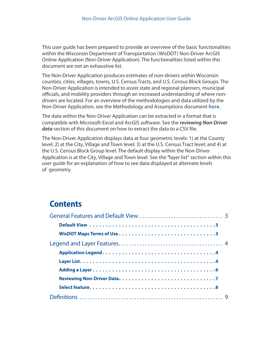<span id="page-1-0"></span>This user guide has been prepared to provide an overview of the basic functionalities within the Wisconsin Department of Transportation (WisDOT) Non-Driver ArcGIS Online Application (Non-Driver Application). The functionalities listed within this document are not an exhaustive list.

The Non-Driver Application produces estimates of non-drivers within Wisconsin counties, cities, villages, towns, U.S. Census Tracts, and U.S. Census Block Groups. The Non-Driver Application is intended to assist state and regional planners, municipal officials, and mobility providers through an increased understanding of where nondrivers are located. For an overview of the methodologies and data utilized by the Non-Driver Application, see the Methodology and Assumptions document **[here](/Documents/projects/multimodal/methodology-and-assumptions.pdf)**.

The data within the Non-Driver Application can be extracted in a format that is compatible with Microsoft-Excel and ArcGIS software. See the *reviewing Non-Driver [data](#page-6-0)* section of this document on how to extract the data to a [CSV file.](#page-6-0)

The Non-Driver Application displays data at four geometric levels: 1) at the County level; 2) at the City, Village and Town level; 3) at the U.S. Census Tract level; and 4) at the U.S. Census Block Group level. The default display within the Non-Driver Application is at the City, Village and Town level. See the **["](#page-3-0)**layer list" section within this user guide for an explanation of how to see data displayed at alternate levels of geometry.

# **Contents**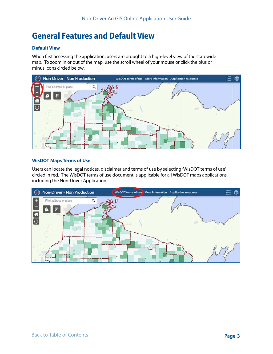# <span id="page-2-0"></span>**General Features and Default View**

### **Default View**

When first accessing the application, users are brought to a high-level view of the statewide map. To zoom in or out of the map, use the scroll wheel of your mouse or click the plus or minus icons circled below.



### **WisDOT Maps Terms of Use**

Users can locate the legal notices, disclaimer and terms of use by selecting 'WisDOT terms of use' circled in red. The WisDOT terms of use document is applicable for all WisDOT maps applications, including the Non-Driver Application.

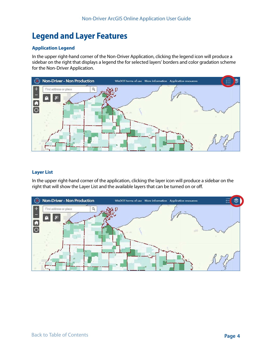# <span id="page-3-0"></span>**Legend and Layer Features**

## **Application Legend**

In the upper right-hand corner of the Non-Driver Application, clicking the legend icon will produce a sidebar on the right that displays a legend the for selected layers' borders and color gradation scheme for the Non-Driver Application.



### **Layer List**

In the upper right-hand corner of the application, clicking the layer icon will produce a sidebar on the right that will show the Layer List and the available layers that can be turned on or off.

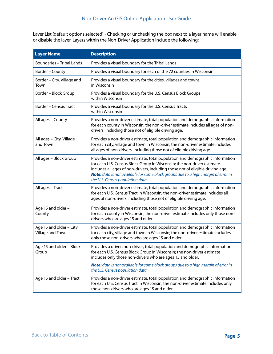Layer List (default options selected) - Checking or unchecking the box next to a layer name will enable or disable the layer. Layers within the Non-Driver Application include the following:

| <b>Layer Name</b>                            | <b>Description</b>                                                                                                                                                                                                                                                                                                                                                 |
|----------------------------------------------|--------------------------------------------------------------------------------------------------------------------------------------------------------------------------------------------------------------------------------------------------------------------------------------------------------------------------------------------------------------------|
| <b>Boundaries - Tribal Lands</b>             | Provides a visual boundary for the Tribal Lands                                                                                                                                                                                                                                                                                                                    |
| Border - County                              | Provides a visual boundary for each of the 72 counties in Wisconsin                                                                                                                                                                                                                                                                                                |
| Border - City, Village and<br>Town           | Provides a visual boundary for the cities, villages and towns<br>in Wisconsin                                                                                                                                                                                                                                                                                      |
| Border - Block Group                         | Provides a visual boundary for the U.S. Census Block Groups<br>within Wisconsin                                                                                                                                                                                                                                                                                    |
| <b>Border - Census Tract</b>                 | Provides a visual boundary for the U.S. Census Tracts<br>within Wisconsin                                                                                                                                                                                                                                                                                          |
| All ages - County                            | Provides a non-driver estimate, total population and demographic information<br>for each county in Wisconsin; the non-driver estimate includes all ages of non-<br>drivers, including those not of eligible driving age.                                                                                                                                           |
| All ages - City, Village<br>and Town         | Provides a non-driver estimate, total population and demographic information<br>for each city, village and town in Wisconsin; the non-driver estimate includes<br>all ages of non-drivers, including those not of eligible driving age.                                                                                                                            |
| All ages - Block Group                       | Provides a non-driver estimate, total population and demographic information<br>for each U.S. Census Block Group in Wisconsin; the non-driver estimate<br>includes all ages of non-drivers, including those not of eligible driving age.<br>Note: data is not available for some block groups due to a high margin of error in<br>the U.S. Census population data. |
| All ages - Tract                             | Provides a non-driver estimate, total population and demographic information<br>for each U.S. Census Tract in Wisconsin; the non-driver estimate includes all<br>ages of non-drivers, including those not of eligible driving age.                                                                                                                                 |
| Age 15 and older -<br>County                 | Provides a non-driver estimate, total population and demographic information<br>for each county in Wisconsin; the non-driver estimate includes only those non-<br>drivers who are ages 15 and older.                                                                                                                                                               |
| Age 15 and older - City,<br>Village and Town | Provides a non-driver estimate, total population and demographic information<br>for each city, village and town in Wisconsin; the non-driver estimate includes<br>only those non-drivers who are ages 15 and older.                                                                                                                                                |
| Age 15 and older - Block<br>Group            | Provides a driver, non-driver, total population and demographic information<br>for each U.S. Census Block Group in Wisconsin; the non-driver estimate<br>includes only those non-drivers who are ages 15 and older.                                                                                                                                                |
|                                              | Note: data is not available for some block groups due to a high margin of error in<br>the U.S. Census population data.                                                                                                                                                                                                                                             |
| Age 15 and older - Tract                     | Provides a non-driver estimate, total population and demographic information<br>for each U.S. Census Tract in Wisconsin; the non-driver estimate includes only<br>those non-drivers who are ages 15 and older.                                                                                                                                                     |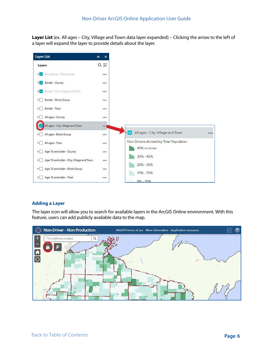<span id="page-5-0"></span>**Layer List** (ex. All ages – City, Village and Town data layer expanded) – Clicking the arrow to the left of a layer will expand the layer to provide details about the layer.



#### **Adding a Layer**

The layer icon will allow you to search for available layers in the ArcGIS Online environment. With this feature, users can add publicly available data to the map.

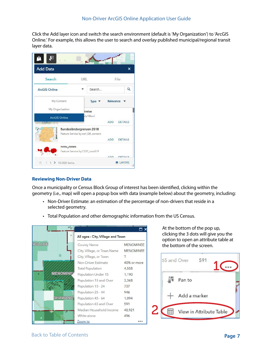<span id="page-6-0"></span>Click the Add layer icon and switch the search environment (default is 'My Organization') to 'ArcGIS Online.' For example, this allows the user to search and overlay published municipal/regional transit layer data.



### **Reviewing Non-Driver Data**

Once a municipality or Census Block Group of interest has been identified, clicking within the geometry (i.e., map) will open a popup box with data (example below) about the geometry, including:

- Non-Driver Estimate: an estimation of the percentage of non-drivers that reside in a selected geometry.
- Total Population and other demographic information from the US Census.

|                 | $\epsilon$              |                                               | □.                                   |  |  |  |  |
|-----------------|-------------------------|-----------------------------------------------|--------------------------------------|--|--|--|--|
|                 |                         | All ages - City, Village and Town             |                                      |  |  |  |  |
| <b>NGLADE</b>   | County Name             | City, Village, or Town Name                   | <b>MENOMINEE</b><br><b>MENOMINEE</b> |  |  |  |  |
|                 |                         | City, Village, or Town<br>Non-Driver Estimate | 40% or more                          |  |  |  |  |
|                 | <b>Total Population</b> |                                               | 4,558                                |  |  |  |  |
| <b>MENOMINE</b> |                         | Population Under 15                           | 1,190                                |  |  |  |  |
|                 | Population 15 - 24      | Population 15 and Over                        | 3,368<br>737                         |  |  |  |  |
|                 | Population 25 - 44      |                                               | 946                                  |  |  |  |  |
| <b>SHAWANO</b>  | Population 45 - 64      |                                               | 1.094                                |  |  |  |  |
|                 |                         | Population 65 and Over                        | 591                                  |  |  |  |  |
|                 | White alone             | Median Household Income                       | 40.921                               |  |  |  |  |
|                 | Zoom to                 |                                               | 496                                  |  |  |  |  |

At the bottom of the pop up, clicking the 3 dots will give you the option to open an attribute table at the bottom of the screen.



[Back to Table of Contents](#page-1-0) **7**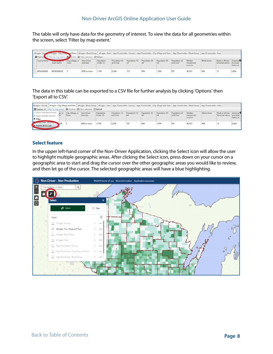<span id="page-7-0"></span>The table will only have data for the geometry of interest. To view the data for all geometries within the screen, select 'Filter by map extent.'

| <b>III</b> Options | Filter by map extent |                          | born to   X Clear selection   C Refresh |                        |                           |                       |                       |                       |                           |                               |             |                                    |                                                  |
|--------------------|----------------------|--------------------------|-----------------------------------------|------------------------|---------------------------|-----------------------|-----------------------|-----------------------|---------------------------|-------------------------------|-------------|------------------------------------|--------------------------------------------------|
| County Name        | Town Name            | City, Village or<br>Town | Non-Driver<br>Estimate                  | Population<br>Under 15 | Population 15<br>and Over | Population 15 -<br>24 | Population 25 -<br>44 | Population 45 -<br>64 | Population 65<br>and Over | Median<br>Household<br>Income | White alone | Black or African<br>American alone | American <sup>O</sup><br>and Alask<br>Native alr |
| MENOMINEE          | <b>MENOMINEE</b>     |                          | 40% or more                             | 1,190                  | 3,368                     | 737                   | 946                   | 1,094                 | 591                       | 40,921                        | 496         | 13                                 | 3,826                                            |

The data in this table can be exported to a CSV file for further analysis by clicking 'Options' then 'Export all to CSV.'

| Dotions v Filter by map extent   Q Zoom to   X Clear selection   C Refresh |        |                           |                        |                        |                           |                       |     |                                 |                           |                               |             |                                             |                         |
|----------------------------------------------------------------------------|--------|---------------------------|------------------------|------------------------|---------------------------|-----------------------|-----|---------------------------------|---------------------------|-------------------------------|-------------|---------------------------------------------|-------------------------|
| Show selected records<br>Show related records<br><b>T</b> Filter           | be, or | City, Village, or<br>Town | Non-Driver<br>Estimate | Population<br>Under 15 | Population 15<br>and Over | Population 15 -<br>24 | 44  | Population 25 - Population 45 - | Population 65<br>and Over | Median<br>Household<br>Income | White alone | Black or African American<br>American alone | and Alask<br>Native air |
| A Export all to CSV                                                        | NEE    |                           | 40% or more            | 1,190                  | 3,368                     | 737                   | 946 | 1.094                           | 591                       | 40,921                        | 496         | 13                                          | 3,826                   |

### **Select feature**

In the upper left-hand corner of the Non-Driver Application, clicking the Select icon will allow the user to highlight multiple geographic areas. After clicking the Select icon, press down on your cursor on a geographic area to start and drag the cursor over the other geographic areas you would like to review, and then let go of the cursor. The selected geographic areas will have a blue highlighting.